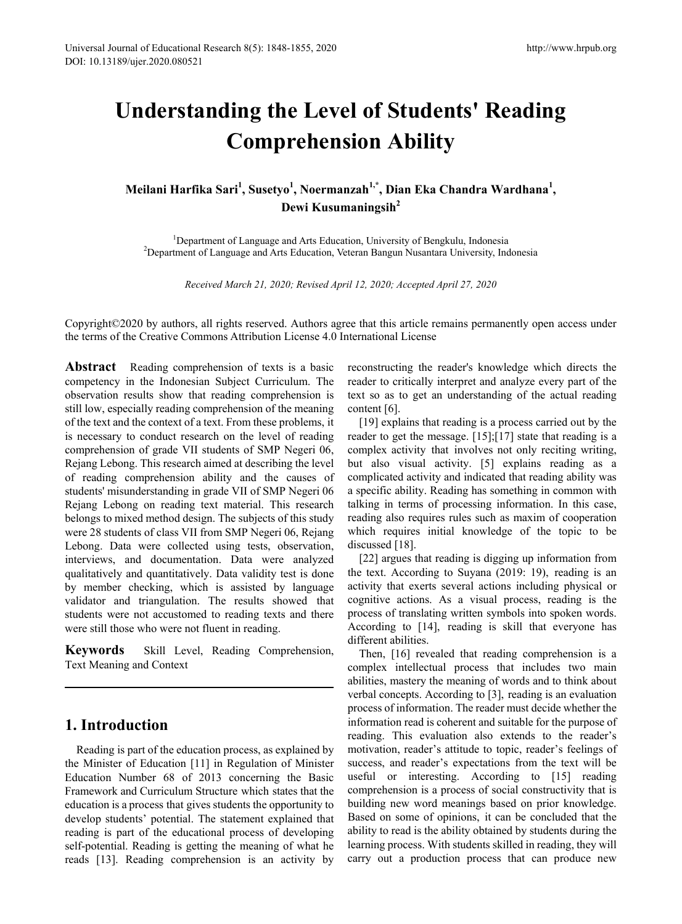# **Understanding the Level of Students' Reading Comprehension Ability**

# **Meilani Harfika Sari<sup>1</sup> , Susetyo<sup>1</sup> , Noermanzah1,\* , Dian Eka Chandra Wardhana<sup>1</sup> , Dewi Kusumaningsih<sup>2</sup>**

<sup>1</sup>Department of Language and Arts Education, University of Bengkulu, Indonesia Department of Language and Arts Education, University of Bengkulu, Indonesia 2 Department of Language and Arts Education, Veteran Bangun Nusantara University, Indonesia

*Received March 21, 2020; Revised April 12, 2020; Accepted April 27, 2020*

Copyright©2020 by authors, all rights reserved. Authors agree that this article remains permanently open access under the terms of the Creative Commons Attribution License 4.0 International License

**Abstract** Reading comprehension of texts is a basic competency in the Indonesian Subject Curriculum. The observation results show that reading comprehension is still low, especially reading comprehension of the meaning of the text and the context of a text. From these problems, it is necessary to conduct research on the level of reading comprehension of grade VII students of SMP Negeri 06, Rejang Lebong. This research aimed at describing the level of reading comprehension ability and the causes of students' misunderstanding in grade VII of SMP Negeri 06 Rejang Lebong on reading text material. This research belongs to mixed method design. The subjects of this study were 28 students of class VII from SMP Negeri 06, Rejang Lebong. Data were collected using tests, observation, interviews, and documentation. Data were analyzed qualitatively and quantitatively. Data validity test is done by member checking, which is assisted by language validator and triangulation. The results showed that students were not accustomed to reading texts and there were still those who were not fluent in reading.

**Keywords** Skill Level, Reading Comprehension, Text Meaning and Context

# **1. Introduction**

Reading is part of the education process, as explained by the Minister of Education [11] in Regulation of Minister Education Number 68 of 2013 concerning the Basic Framework and Curriculum Structure which states that the education is a process that gives students the opportunity to develop students' potential. The statement explained that reading is part of the educational process of developing self-potential. Reading is getting the meaning of what he reads [13]. Reading comprehension is an activity by

reconstructing the reader's knowledge which directs the reader to critically interpret and analyze every part of the text so as to get an understanding of the actual reading content [6].

[19] explains that reading is a process carried out by the reader to get the message. [15];[17] state that reading is a complex activity that involves not only reciting writing, but also visual activity. [5] explains reading as a complicated activity and indicated that reading ability was a specific ability. Reading has something in common with talking in terms of processing information. In this case, reading also requires rules such as maxim of cooperation which requires initial knowledge of the topic to be discussed [18].

[22] argues that reading is digging up information from the text. According to Suyana (2019: 19), reading is an activity that exerts several actions including physical or cognitive actions. As a visual process, reading is the process of translating written symbols into spoken words. According to [14], reading is skill that everyone has different abilities.

Then, [16] revealed that reading comprehension is a complex intellectual process that includes two main abilities, mastery the meaning of words and to think about verbal concepts. According to [3], reading is an evaluation process of information. The reader must decide whether the information read is coherent and suitable for the purpose of reading. This evaluation also extends to the reader's motivation, reader's attitude to topic, reader's feelings of success, and reader's expectations from the text will be useful or interesting. According to [15] reading comprehension is a process of social constructivity that is building new word meanings based on prior knowledge. Based on some of opinions, it can be concluded that the ability to read is the ability obtained by students during the learning process. With students skilled in reading, they will carry out a production process that can produce new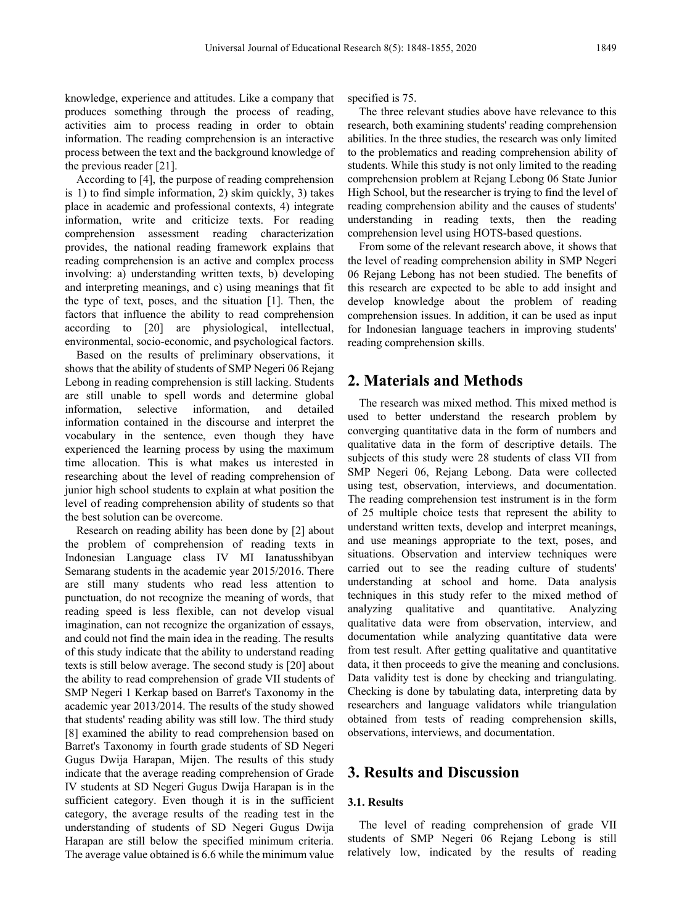knowledge, experience and attitudes. Like a company that produces something through the process of reading, activities aim to process reading in order to obtain information. The reading comprehension is an interactive process between the text and the background knowledge of the previous reader [21].

According to [4], the purpose of reading comprehension is 1) to find simple information, 2) skim quickly, 3) takes place in academic and professional contexts, 4) integrate information, write and criticize texts. For reading comprehension assessment reading characterization provides, the national reading framework explains that reading comprehension is an active and complex process involving: a) understanding written texts, b) developing and interpreting meanings, and c) using meanings that fit the type of text, poses, and the situation [1]. Then, the factors that influence the ability to read comprehension according to [20] are physiological, intellectual, environmental, socio-economic, and psychological factors.

Based on the results of preliminary observations, it shows that the ability of students of SMP Negeri 06 Rejang Lebong in reading comprehension is still lacking. Students are still unable to spell words and determine global information, selective information, and detailed information contained in the discourse and interpret the vocabulary in the sentence, even though they have experienced the learning process by using the maximum time allocation. This is what makes us interested in researching about the level of reading comprehension of junior high school students to explain at what position the level of reading comprehension ability of students so that the best solution can be overcome.

Research on reading ability has been done by [2] about the problem of comprehension of reading texts in Indonesian Language class IV MI Ianatusshibyan Semarang students in the academic year 2015/2016. There are still many students who read less attention to punctuation, do not recognize the meaning of words, that reading speed is less flexible, can not develop visual imagination, can not recognize the organization of essays, and could not find the main idea in the reading. The results of this study indicate that the ability to understand reading texts is still below average. The second study is [20] about the ability to read comprehension of grade VII students of SMP Negeri 1 Kerkap based on Barret's Taxonomy in the academic year 2013/2014. The results of the study showed that students' reading ability was still low. The third study [8] examined the ability to read comprehension based on Barret's Taxonomy in fourth grade students of SD Negeri Gugus Dwija Harapan, Mijen. The results of this study indicate that the average reading comprehension of Grade IV students at SD Negeri Gugus Dwija Harapan is in the sufficient category. Even though it is in the sufficient category, the average results of the reading test in the understanding of students of SD Negeri Gugus Dwija Harapan are still below the specified minimum criteria. The average value obtained is 6.6 while the minimum value

specified is 75.

The three relevant studies above have relevance to this research, both examining students' reading comprehension abilities. In the three studies, the research was only limited to the problematics and reading comprehension ability of students. While this study is not only limited to the reading comprehension problem at Rejang Lebong 06 State Junior High School, but the researcher is trying to find the level of reading comprehension ability and the causes of students' understanding in reading texts, then the reading comprehension level using HOTS-based questions.

From some of the relevant research above, it shows that the level of reading comprehension ability in SMP Negeri 06 Rejang Lebong has not been studied. The benefits of this research are expected to be able to add insight and develop knowledge about the problem of reading comprehension issues. In addition, it can be used as input for Indonesian language teachers in improving students' reading comprehension skills.

# **2. Materials and Methods**

The research was mixed method. This mixed method is used to better understand the research problem by converging quantitative data in the form of numbers and qualitative data in the form of descriptive details. The subjects of this study were 28 students of class VII from SMP Negeri 06, Rejang Lebong. Data were collected using test, observation, interviews, and documentation. The reading comprehension test instrument is in the form of 25 multiple choice tests that represent the ability to understand written texts, develop and interpret meanings, and use meanings appropriate to the text, poses, and situations. Observation and interview techniques were carried out to see the reading culture of students' understanding at school and home. Data analysis techniques in this study refer to the mixed method of analyzing qualitative and quantitative. Analyzing qualitative data were from observation, interview, and documentation while analyzing quantitative data were from test result. After getting qualitative and quantitative data, it then proceeds to give the meaning and conclusions. Data validity test is done by checking and triangulating. Checking is done by tabulating data, interpreting data by researchers and language validators while triangulation obtained from tests of reading comprehension skills, observations, interviews, and documentation.

# **3. Results and Discussion**

### **3.1. Results**

The level of reading comprehension of grade VII students of SMP Negeri 06 Rejang Lebong is still relatively low, indicated by the results of reading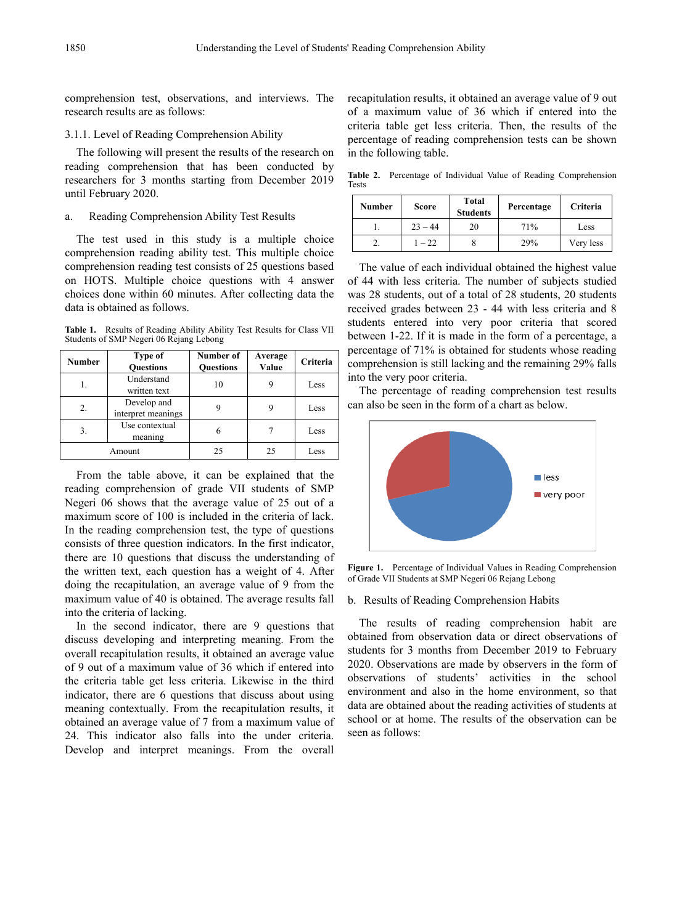comprehension test, observations, and interviews. The research results are as follows:

## 3.1.1. Level of Reading Comprehension Ability

The following will present the results of the research on reading comprehension that has been conducted by researchers for 3 months starting from December 2019 until February 2020.

### a. Reading Comprehension Ability Test Results

The test used in this study is a multiple choice comprehension reading ability test. This multiple choice comprehension reading test consists of 25 questions based on HOTS. Multiple choice questions with 4 answer choices done within 60 minutes. After collecting data the data is obtained as follows.

**Table 1.** Results of Reading Ability Ability Test Results for Class VII Students of SMP Negeri 06 Rejang Lebong

| <b>Number</b> | Type of<br><b>Ouestions</b>       | Number of<br><b>Ouestions</b> | Average<br>Value | Criteria |
|---------------|-----------------------------------|-------------------------------|------------------|----------|
| 1.            | Understand<br>written text        | 10                            | 9                | Less     |
| 2.            | Develop and<br>interpret meanings | 9                             | 9                | Less     |
| 3.            | Use contextual<br>meaning         | 6                             |                  | Less     |
| Amount        |                                   | 25                            | 25               | Less     |

From the table above, it can be explained that the reading comprehension of grade VII students of SMP Negeri 06 shows that the average value of 25 out of a maximum score of 100 is included in the criteria of lack. In the reading comprehension test, the type of questions consists of three question indicators. In the first indicator, there are 10 questions that discuss the understanding of the written text, each question has a weight of 4. After doing the recapitulation, an average value of 9 from the maximum value of 40 is obtained. The average results fall into the criteria of lacking.

In the second indicator, there are 9 questions that discuss developing and interpreting meaning. From the overall recapitulation results, it obtained an average value of 9 out of a maximum value of 36 which if entered into the criteria table get less criteria. Likewise in the third indicator, there are 6 questions that discuss about using meaning contextually. From the recapitulation results, it obtained an average value of 7 from a maximum value of 24. This indicator also falls into the under criteria. Develop and interpret meanings. From the overall

recapitulation results, it obtained an average value of 9 out of a maximum value of 36 which if entered into the criteria table get less criteria. Then, the results of the percentage of reading comprehension tests can be shown in the following table.

**Table 2.** Percentage of Individual Value of Reading Comprehension Tests

| Number | <b>Score</b> | <b>Total</b><br><b>Students</b> | Percentage | Criteria  |
|--------|--------------|---------------------------------|------------|-----------|
|        | $23 - 44$    | 20                              | 71%        | Less      |
|        | $-22$        |                                 | 29%        | Very less |

The value of each individual obtained the highest value of 44 with less criteria. The number of subjects studied was 28 students, out of a total of 28 students, 20 students received grades between 23 - 44 with less criteria and 8 students entered into very poor criteria that scored between 1-22. If it is made in the form of a percentage, a percentage of 71% is obtained for students whose reading comprehension is still lacking and the remaining 29% falls into the very poor criteria.

The percentage of reading comprehension test results can also be seen in the form of a chart as below.



**Figure 1.** Percentage of Individual Values in Reading Comprehension of Grade VII Students at SMP Negeri 06 Rejang Lebong

#### b. Results of Reading Comprehension Habits

The results of reading comprehension habit are obtained from observation data or direct observations of students for 3 months from December 2019 to February 2020. Observations are made by observers in the form of observations of students' activities in the school environment and also in the home environment, so that data are obtained about the reading activities of students at school or at home. The results of the observation can be seen as follows: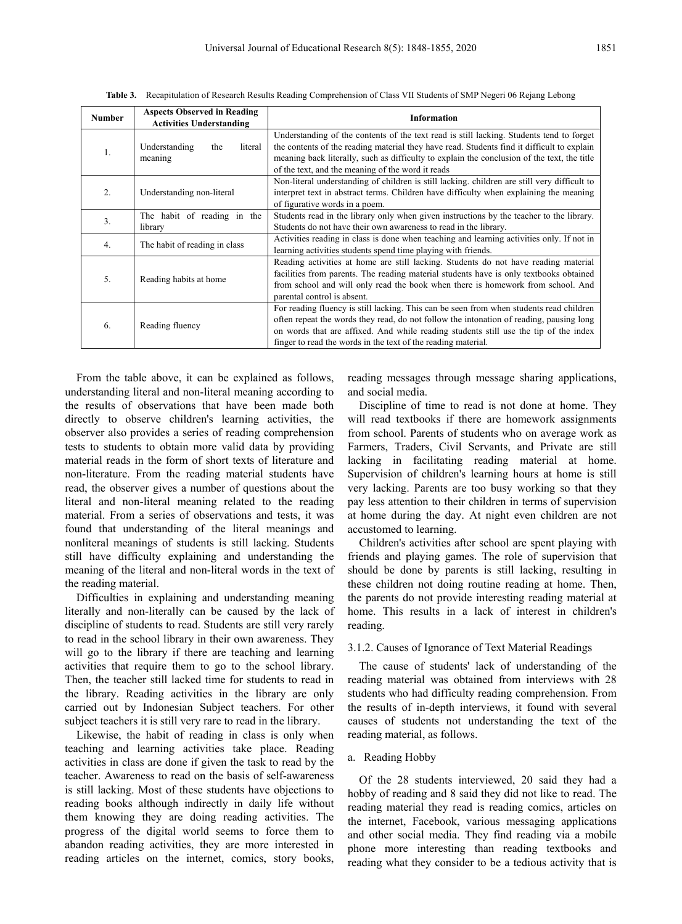| <b>Number</b>  | <b>Aspects Observed in Reading</b><br><b>Activities Understanding</b> | <b>Information</b>                                                                                                                                                                                                                                                                                                                          |  |  |
|----------------|-----------------------------------------------------------------------|---------------------------------------------------------------------------------------------------------------------------------------------------------------------------------------------------------------------------------------------------------------------------------------------------------------------------------------------|--|--|
|                | Understanding<br>the<br>literal<br>meaning                            | Understanding of the contents of the text read is still lacking. Students tend to forget<br>the contents of the reading material they have read. Students find it difficult to explain<br>meaning back literally, such as difficulty to explain the conclusion of the text, the title<br>of the text, and the meaning of the word it reads  |  |  |
| 2.             | Understanding non-literal                                             | Non-literal understanding of children is still lacking, children are still very difficult to<br>interpret text in abstract terms. Children have difficulty when explaining the meaning<br>of figurative words in a poem.                                                                                                                    |  |  |
| 3 <sub>1</sub> | The habit of reading in the<br>library                                | Students read in the library only when given instructions by the teacher to the library.<br>Students do not have their own awareness to read in the library.                                                                                                                                                                                |  |  |
| 4.             | The habit of reading in class                                         | Activities reading in class is done when teaching and learning activities only. If not in<br>learning activities students spend time playing with friends.                                                                                                                                                                                  |  |  |
| 5.             | Reading habits at home                                                | Reading activities at home are still lacking. Students do not have reading material<br>facilities from parents. The reading material students have is only textbooks obtained<br>from school and will only read the book when there is homework from school. And<br>parental control is absent.                                             |  |  |
| 6.             | Reading fluency                                                       | For reading fluency is still lacking. This can be seen from when students read children<br>often repeat the words they read, do not follow the intonation of reading, pausing long<br>on words that are affixed. And while reading students still use the tip of the index<br>finger to read the words in the text of the reading material. |  |  |

**Table 3.** Recapitulation of Research Results Reading Comprehension of Class VII Students of SMP Negeri 06 Rejang Lebong

From the table above, it can be explained as follows, understanding literal and non-literal meaning according to the results of observations that have been made both directly to observe children's learning activities, the observer also provides a series of reading comprehension tests to students to obtain more valid data by providing material reads in the form of short texts of literature and non-literature. From the reading material students have read, the observer gives a number of questions about the literal and non-literal meaning related to the reading material. From a series of observations and tests, it was found that understanding of the literal meanings and nonliteral meanings of students is still lacking. Students still have difficulty explaining and understanding the meaning of the literal and non-literal words in the text of the reading material.

Difficulties in explaining and understanding meaning literally and non-literally can be caused by the lack of discipline of students to read. Students are still very rarely to read in the school library in their own awareness. They will go to the library if there are teaching and learning activities that require them to go to the school library. Then, the teacher still lacked time for students to read in the library. Reading activities in the library are only carried out by Indonesian Subject teachers. For other subject teachers it is still very rare to read in the library.

Likewise, the habit of reading in class is only when teaching and learning activities take place. Reading activities in class are done if given the task to read by the teacher. Awareness to read on the basis of self-awareness is still lacking. Most of these students have objections to reading books although indirectly in daily life without them knowing they are doing reading activities. The progress of the digital world seems to force them to abandon reading activities, they are more interested in reading articles on the internet, comics, story books,

reading messages through message sharing applications, and social media.

Discipline of time to read is not done at home. They will read textbooks if there are homework assignments from school. Parents of students who on average work as Farmers, Traders, Civil Servants, and Private are still lacking in facilitating reading material at home. Supervision of children's learning hours at home is still very lacking. Parents are too busy working so that they pay less attention to their children in terms of supervision at home during the day. At night even children are not accustomed to learning.

Children's activities after school are spent playing with friends and playing games. The role of supervision that should be done by parents is still lacking, resulting in these children not doing routine reading at home. Then, the parents do not provide interesting reading material at home. This results in a lack of interest in children's reading.

#### 3.1.2. Causes of Ignorance of Text Material Readings

The cause of students' lack of understanding of the reading material was obtained from interviews with 28 students who had difficulty reading comprehension. From the results of in-depth interviews, it found with several causes of students not understanding the text of the reading material, as follows.

### a. Reading Hobby

Of the 28 students interviewed, 20 said they had a hobby of reading and 8 said they did not like to read. The reading material they read is reading comics, articles on the internet, Facebook, various messaging applications and other social media. They find reading via a mobile phone more interesting than reading textbooks and reading what they consider to be a tedious activity that is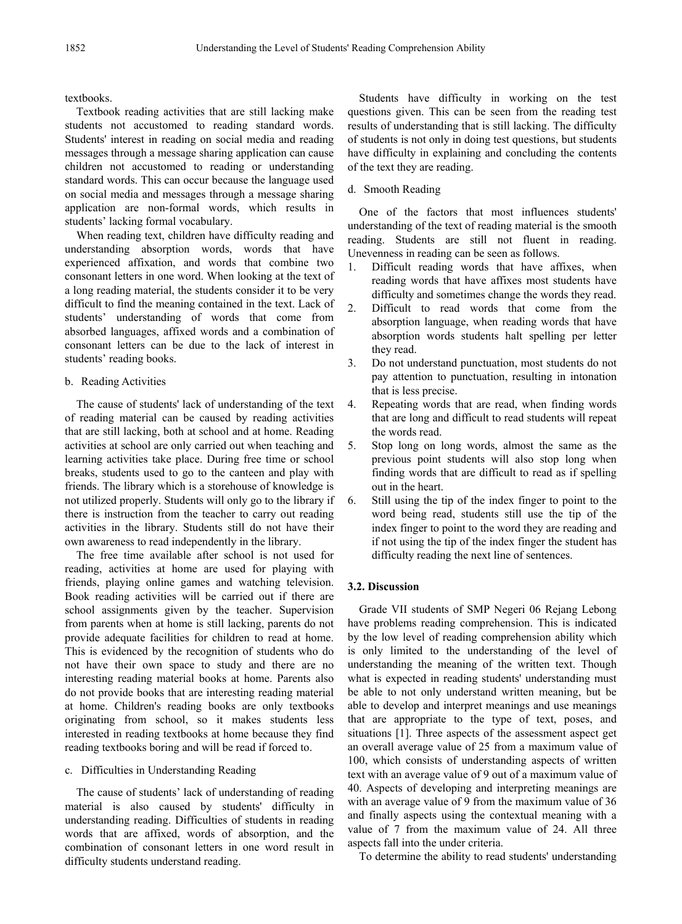textbooks.

Textbook reading activities that are still lacking make students not accustomed to reading standard words. Students' interest in reading on social media and reading messages through a message sharing application can cause children not accustomed to reading or understanding standard words. This can occur because the language used on social media and messages through a message sharing application are non-formal words, which results in students' lacking formal vocabulary.

When reading text, children have difficulty reading and understanding absorption words, words that have experienced affixation, and words that combine two consonant letters in one word. When looking at the text of a long reading material, the students consider it to be very difficult to find the meaning contained in the text. Lack of students' understanding of words that come from absorbed languages, affixed words and a combination of consonant letters can be due to the lack of interest in students' reading books.

#### b. Reading Activities

The cause of students' lack of understanding of the text of reading material can be caused by reading activities that are still lacking, both at school and at home. Reading activities at school are only carried out when teaching and learning activities take place. During free time or school breaks, students used to go to the canteen and play with friends. The library which is a storehouse of knowledge is not utilized properly. Students will only go to the library if there is instruction from the teacher to carry out reading activities in the library. Students still do not have their own awareness to read independently in the library.

The free time available after school is not used for reading, activities at home are used for playing with friends, playing online games and watching television. Book reading activities will be carried out if there are school assignments given by the teacher. Supervision from parents when at home is still lacking, parents do not provide adequate facilities for children to read at home. This is evidenced by the recognition of students who do not have their own space to study and there are no interesting reading material books at home. Parents also do not provide books that are interesting reading material at home. Children's reading books are only textbooks originating from school, so it makes students less interested in reading textbooks at home because they find reading textbooks boring and will be read if forced to.

### c. Difficulties in Understanding Reading

The cause of students' lack of understanding of reading material is also caused by students' difficulty in understanding reading. Difficulties of students in reading words that are affixed, words of absorption, and the combination of consonant letters in one word result in difficulty students understand reading.

Students have difficulty in working on the test questions given. This can be seen from the reading test results of understanding that is still lacking. The difficulty of students is not only in doing test questions, but students have difficulty in explaining and concluding the contents of the text they are reading.

### d. Smooth Reading

One of the factors that most influences students' understanding of the text of reading material is the smooth reading. Students are still not fluent in reading. Unevenness in reading can be seen as follows.

- 1. Difficult reading words that have affixes, when reading words that have affixes most students have difficulty and sometimes change the words they read.
- 2. Difficult to read words that come from the absorption language, when reading words that have absorption words students halt spelling per letter they read.
- 3. Do not understand punctuation, most students do not pay attention to punctuation, resulting in intonation that is less precise.
- 4. Repeating words that are read, when finding words that are long and difficult to read students will repeat the words read.
- 5. Stop long on long words, almost the same as the previous point students will also stop long when finding words that are difficult to read as if spelling out in the heart.
- 6. Still using the tip of the index finger to point to the word being read, students still use the tip of the index finger to point to the word they are reading and if not using the tip of the index finger the student has difficulty reading the next line of sentences.

### **3.2. Discussion**

Grade VII students of SMP Negeri 06 Rejang Lebong have problems reading comprehension. This is indicated by the low level of reading comprehension ability which is only limited to the understanding of the level of understanding the meaning of the written text. Though what is expected in reading students' understanding must be able to not only understand written meaning, but be able to develop and interpret meanings and use meanings that are appropriate to the type of text, poses, and situations [1]. Three aspects of the assessment aspect get an overall average value of 25 from a maximum value of 100, which consists of understanding aspects of written text with an average value of 9 out of a maximum value of 40. Aspects of developing and interpreting meanings are with an average value of 9 from the maximum value of 36 and finally aspects using the contextual meaning with a value of 7 from the maximum value of 24. All three aspects fall into the under criteria.

To determine the ability to read students' understanding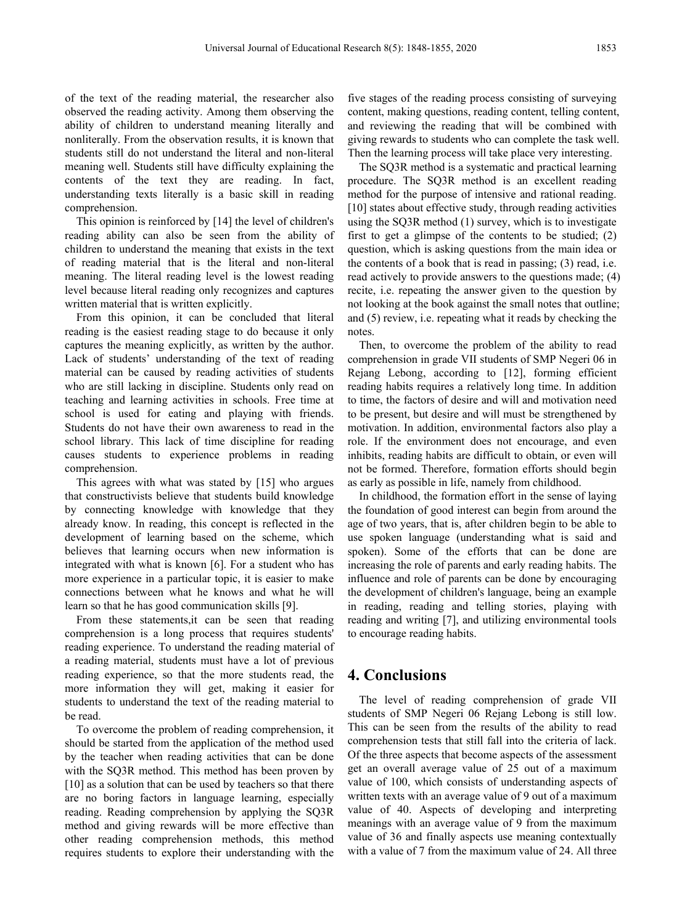of the text of the reading material, the researcher also observed the reading activity. Among them observing the ability of children to understand meaning literally and nonliterally. From the observation results, it is known that students still do not understand the literal and non-literal meaning well. Students still have difficulty explaining the contents of the text they are reading. In fact, understanding texts literally is a basic skill in reading comprehension.

This opinion is reinforced by [14] the level of children's reading ability can also be seen from the ability of children to understand the meaning that exists in the text of reading material that is the literal and non-literal meaning. The literal reading level is the lowest reading level because literal reading only recognizes and captures written material that is written explicitly.

From this opinion, it can be concluded that literal reading is the easiest reading stage to do because it only captures the meaning explicitly, as written by the author. Lack of students' understanding of the text of reading material can be caused by reading activities of students who are still lacking in discipline. Students only read on teaching and learning activities in schools. Free time at school is used for eating and playing with friends. Students do not have their own awareness to read in the school library. This lack of time discipline for reading causes students to experience problems in reading comprehension.

This agrees with what was stated by [15] who argues that constructivists believe that students build knowledge by connecting knowledge with knowledge that they already know. In reading, this concept is reflected in the development of learning based on the scheme, which believes that learning occurs when new information is integrated with what is known [6]. For a student who has more experience in a particular topic, it is easier to make connections between what he knows and what he will learn so that he has good communication skills [9].

From these statements,it can be seen that reading comprehension is a long process that requires students' reading experience. To understand the reading material of a reading material, students must have a lot of previous reading experience, so that the more students read, the more information they will get, making it easier for students to understand the text of the reading material to be read.

To overcome the problem of reading comprehension, it should be started from the application of the method used by the teacher when reading activities that can be done with the SQ3R method. This method has been proven by [10] as a solution that can be used by teachers so that there are no boring factors in language learning, especially reading. Reading comprehension by applying the SQ3R method and giving rewards will be more effective than other reading comprehension methods, this method requires students to explore their understanding with the

five stages of the reading process consisting of surveying content, making questions, reading content, telling content, and reviewing the reading that will be combined with giving rewards to students who can complete the task well. Then the learning process will take place very interesting.

The SQ3R method is a systematic and practical learning procedure. The SQ3R method is an excellent reading method for the purpose of intensive and rational reading. [10] states about effective study, through reading activities using the SQ3R method (1) survey, which is to investigate first to get a glimpse of the contents to be studied; (2) question, which is asking questions from the main idea or the contents of a book that is read in passing; (3) read, i.e. read actively to provide answers to the questions made; (4) recite, i.e. repeating the answer given to the question by not looking at the book against the small notes that outline; and (5) review, i.e. repeating what it reads by checking the notes.

Then, to overcome the problem of the ability to read comprehension in grade VII students of SMP Negeri 06 in Rejang Lebong, according to [12], forming efficient reading habits requires a relatively long time. In addition to time, the factors of desire and will and motivation need to be present, but desire and will must be strengthened by motivation. In addition, environmental factors also play a role. If the environment does not encourage, and even inhibits, reading habits are difficult to obtain, or even will not be formed. Therefore, formation efforts should begin as early as possible in life, namely from childhood.

In childhood, the formation effort in the sense of laying the foundation of good interest can begin from around the age of two years, that is, after children begin to be able to use spoken language (understanding what is said and spoken). Some of the efforts that can be done are increasing the role of parents and early reading habits. The influence and role of parents can be done by encouraging the development of children's language, being an example in reading, reading and telling stories, playing with reading and writing [7], and utilizing environmental tools to encourage reading habits.

# **4. Conclusions**

The level of reading comprehension of grade VII students of SMP Negeri 06 Rejang Lebong is still low. This can be seen from the results of the ability to read comprehension tests that still fall into the criteria of lack. Of the three aspects that become aspects of the assessment get an overall average value of 25 out of a maximum value of 100, which consists of understanding aspects of written texts with an average value of 9 out of a maximum value of 40. Aspects of developing and interpreting meanings with an average value of 9 from the maximum value of 36 and finally aspects use meaning contextually with a value of 7 from the maximum value of 24. All three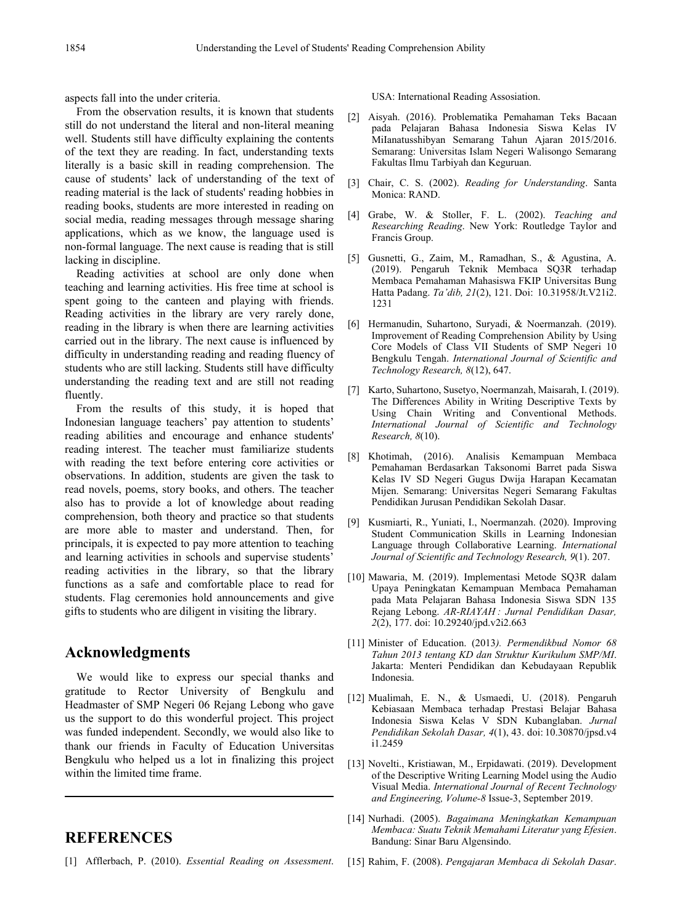aspects fall into the under criteria.

From the observation results, it is known that students still do not understand the literal and non-literal meaning well. Students still have difficulty explaining the contents of the text they are reading. In fact, understanding texts literally is a basic skill in reading comprehension. The cause of students' lack of understanding of the text of reading material is the lack of students' reading hobbies in reading books, students are more interested in reading on social media, reading messages through message sharing applications, which as we know, the language used is non-formal language. The next cause is reading that is still lacking in discipline.

Reading activities at school are only done when teaching and learning activities. His free time at school is spent going to the canteen and playing with friends. Reading activities in the library are very rarely done, reading in the library is when there are learning activities carried out in the library. The next cause is influenced by difficulty in understanding reading and reading fluency of students who are still lacking. Students still have difficulty understanding the reading text and are still not reading fluently.

From the results of this study, it is hoped that Indonesian language teachers' pay attention to students' reading abilities and encourage and enhance students' reading interest. The teacher must familiarize students with reading the text before entering core activities or observations. In addition, students are given the task to read novels, poems, story books, and others. The teacher also has to provide a lot of knowledge about reading comprehension, both theory and practice so that students are more able to master and understand. Then, for principals, it is expected to pay more attention to teaching and learning activities in schools and supervise students' reading activities in the library, so that the library functions as a safe and comfortable place to read for students. Flag ceremonies hold announcements and give gifts to students who are diligent in visiting the library.

# **Acknowledgments**

We would like to express our special thanks and gratitude to Rector University of Bengkulu and Headmaster of SMP Negeri 06 Rejang Lebong who gave us the support to do this wonderful project. This project was funded independent. Secondly, we would also like to thank our friends in Faculty of Education Universitas Bengkulu who helped us a lot in finalizing this project within the limited time frame.

# **REFERENCES**

[1] Afflerbach, P. (2010). *Essential Reading on Assessment*.

USA: International Reading Assosiation.

- [2] Aisyah. (2016). Problematika Pemahaman Teks Bacaan pada Pelajaran Bahasa Indonesia Siswa Kelas IV MiIanatusshibyan Semarang Tahun Ajaran 2015/2016. Semarang: Universitas Islam Negeri Walisongo Semarang Fakultas Ilmu Tarbiyah dan Keguruan.
- [3] Chair, C. S. (2002). *Reading for Understanding*. Santa Monica: RAND.
- [4] Grabe, W. & Stoller, F. L. (2002). *Teaching and Researching Reading*. New York: Routledge Taylor and Francis Group.
- [5] Gusnetti, G., Zaim, M., Ramadhan, S., & Agustina, A. (2019). Pengaruh Teknik Membaca SQ3R terhadap Membaca Pemahaman Mahasiswa FKIP Universitas Bung Hatta Padang. *Ta'dib, 21*(2), 121. Doi: 10.31958/Jt.V21i2. 1231
- [6] Hermanudin, Suhartono, Suryadi, & Noermanzah. (2019). Improvement of Reading Comprehension Ability by Using Core Models of Class VII Students of SMP Negeri 10 Bengkulu Tengah. *International Journal of Scientific and Technology Research, 8*(12), 647.
- Karto, Suhartono, Susetyo, Noermanzah, Maisarah, I. (2019). The Differences Ability in Writing Descriptive Texts by Using Chain Writing and Conventional Methods. *International Journal of Scientific and Technology Research, 8*(10).
- [8] Khotimah, (2016). Analisis Kemampuan Membaca Pemahaman Berdasarkan Taksonomi Barret pada Siswa Kelas IV SD Negeri Gugus Dwija Harapan Kecamatan Mijen. Semarang: Universitas Negeri Semarang Fakultas Pendidikan Jurusan Pendidikan Sekolah Dasar.
- [9] Kusmiarti, R., Yuniati, I., Noermanzah. (2020). Improving Student Communication Skills in Learning Indonesian Language through Collaborative Learning. *International Journal of Scientific and Technology Research, 9*(1). 207.
- [10] Mawaria, M. (2019). Implementasi Metode SQ3R dalam Upaya Peningkatan Kemampuan Membaca Pemahaman pada Mata Pelajaran Bahasa Indonesia Siswa SDN 135 Rejang Lebong. *AR-RIAYAH : Jurnal Pendidikan Dasar, 2*(2), 177. doi: 10.29240/jpd.v2i2.663
- [11] Minister of Education. (2013*). Permendikbud Nomor 68 Tahun 2013 tentang KD dan Struktur Kurikulum SMP/MI*. Jakarta: Menteri Pendidikan dan Kebudayaan Republik Indonesia.
- [12] Mualimah, E. N., & Usmaedi, U. (2018). Pengaruh Kebiasaan Membaca terhadap Prestasi Belajar Bahasa Indonesia Siswa Kelas V SDN Kubanglaban. *Jurnal Pendidikan Sekolah Dasar, 4*(1), 43. doi: 10.30870/jpsd.v4 i1.2459
- [13] Novelti., Kristiawan, M., Erpidawati. (2019). Development of the Descriptive Writing Learning Model using the Audio Visual Media. *International Journal of Recent Technology and Engineering, Volume-8* Issue-3, September 2019.
- [14] Nurhadi. (2005). *Bagaimana Meningkatkan Kemampuan Membaca: Suatu Teknik Memahami Literatur yang Efesien*. Bandung: Sinar Baru Algensindo.
- [15] Rahim, F. (2008). *Pengajaran Membaca di Sekolah Dasar*.